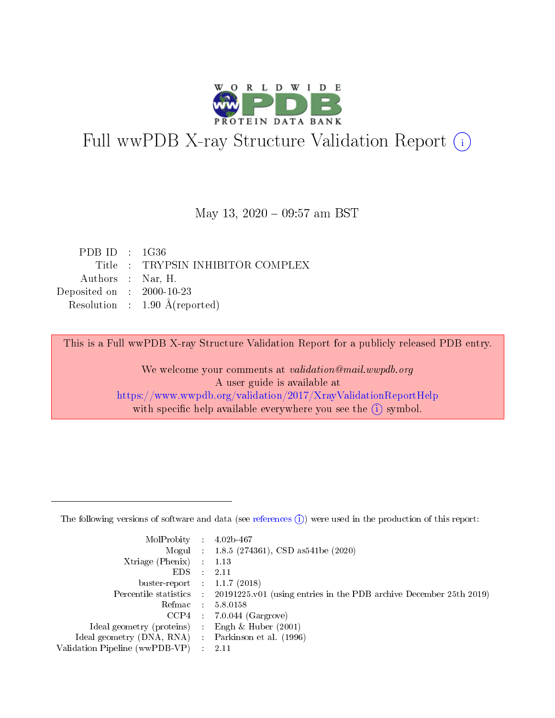

# Full wwPDB X-ray Structure Validation Report (i)

#### May 13, 2020 - 09:57 am BST

| PDBID : 1G36                |                                          |
|-----------------------------|------------------------------------------|
|                             | Title : TRYPSIN INHIBITOR COMPLEX        |
| Authors : Nar, H.           |                                          |
| Deposited on : $2000-10-23$ |                                          |
|                             | Resolution : $1.90 \text{ Å}$ (reported) |
|                             |                                          |

This is a Full wwPDB X-ray Structure Validation Report for a publicly released PDB entry.

We welcome your comments at validation@mail.wwpdb.org A user guide is available at <https://www.wwpdb.org/validation/2017/XrayValidationReportHelp> with specific help available everywhere you see the  $(i)$  symbol.

The following versions of software and data (see [references](https://www.wwpdb.org/validation/2017/XrayValidationReportHelp#references)  $(1)$ ) were used in the production of this report:

| MolProbity :                   |               | $4.02b - 467$                                                                |
|--------------------------------|---------------|------------------------------------------------------------------------------|
|                                |               | Mogul : 1.8.5 (274361), CSD as 541be (2020)                                  |
| $X$ triage (Phenix) :          |               | 1.13                                                                         |
| EDS.                           |               | 2.11                                                                         |
| buster-report : $1.1.7$ (2018) |               |                                                                              |
| Percentile statistics :        |               | $20191225 \text{ v}01$ (using entries in the PDB archive December 25th 2019) |
| Refmac :                       |               | 5.8.0158                                                                     |
| $CCP4$ :                       |               | $7.0.044$ (Gargrove)                                                         |
| Ideal geometry (proteins) :    |               | Engh $\&$ Huber (2001)                                                       |
| Ideal geometry (DNA, RNA) :    |               | Parkinson et al. (1996)                                                      |
| Validation Pipeline (wwPDB-VP) | $\mathcal{L}$ | 2.11                                                                         |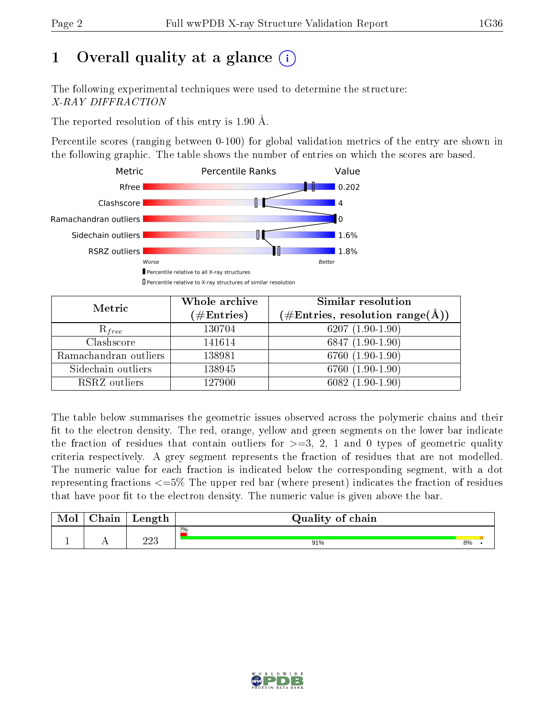# 1 [O](https://www.wwpdb.org/validation/2017/XrayValidationReportHelp#overall_quality)verall quality at a glance  $(i)$

The following experimental techniques were used to determine the structure: X-RAY DIFFRACTION

The reported resolution of this entry is 1.90 Å.

Percentile scores (ranging between 0-100) for global validation metrics of the entry are shown in the following graphic. The table shows the number of entries on which the scores are based.



| Metric                | Whole archive<br>$(\#\mathrm{Entries})$ | Similar resolution<br>$(\#\text{Entries}, \text{resolution range}(\text{\AA}))$ |
|-----------------------|-----------------------------------------|---------------------------------------------------------------------------------|
| $R_{free}$            | 130704                                  | $6207(1.90-1.90)$                                                               |
| Clashscore            | 141614                                  | $6847(1.90-1.90)$                                                               |
| Ramachandran outliers | 138981                                  | $6760(1.90-1.90)$                                                               |
| Sidechain outliers    | 138945                                  | 6760 (1.90-1.90)                                                                |
| RSRZ outliers         | 127900                                  | $6082(1.90-1.90)$                                                               |

The table below summarises the geometric issues observed across the polymeric chains and their fit to the electron density. The red, orange, yellow and green segments on the lower bar indicate the fraction of residues that contain outliers for  $>=3, 2, 1$  and 0 types of geometric quality criteria respectively. A grey segment represents the fraction of residues that are not modelled. The numeric value for each fraction is indicated below the corresponding segment, with a dot representing fractions  $\epsilon=5\%$  The upper red bar (where present) indicates the fraction of residues that have poor fit to the electron density. The numeric value is given above the bar.

| Mol | $\cap$ hain | Length     | Quality of chain |    |  |  |  |  |  |  |
|-----|-------------|------------|------------------|----|--|--|--|--|--|--|
|     |             |            | 2%               |    |  |  |  |  |  |  |
|     |             | າາາ<br>⊿⊿∪ | 91%              | 8% |  |  |  |  |  |  |

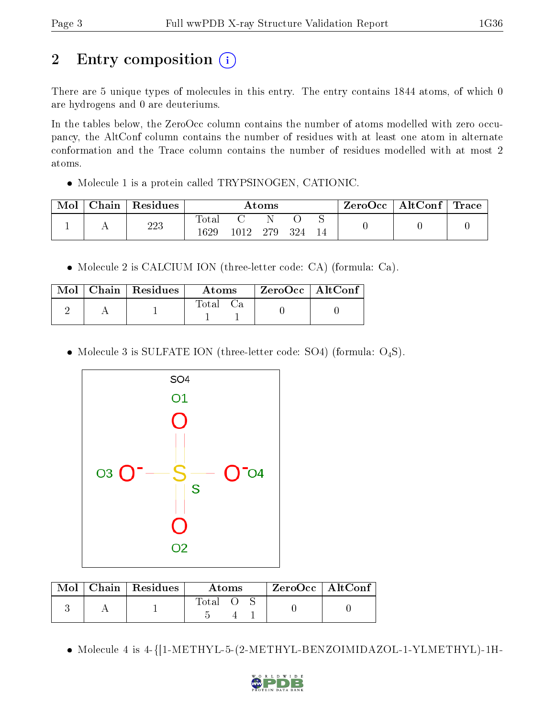# 2 Entry composition  $\left( \cdot \right)$

There are 5 unique types of molecules in this entry. The entry contains 1844 atoms, of which 0 are hydrogens and 0 are deuteriums.

In the tables below, the ZeroOcc column contains the number of atoms modelled with zero occupancy, the AltConf column contains the number of residues with at least one atom in alternate conformation and the Trace column contains the number of residues modelled with at most 2 atoms.

• Molecule 1 is a protein called TRYPSINOGEN, CATIONIC.

| Mol | Chain | $\vert$ Residues | $\rm{Atoms}$        |      |     |     | $\text{ZeroOcc} \mid \text{AltConf} \mid \text{Trace}$ |  |  |
|-----|-------|------------------|---------------------|------|-----|-----|--------------------------------------------------------|--|--|
|     |       | 223              | $\rm Total$<br>1629 | 1012 | 279 | 324 |                                                        |  |  |

Molecule 2 is CALCIUM ION (three-letter code: CA) (formula: Ca).

|  | $\text{Mol}$   Chain   Residues | Atoms |  | ZeroOcc   AltConf |  |
|--|---------------------------------|-------|--|-------------------|--|
|  |                                 | Total |  |                   |  |

• Molecule 3 is SULFATE ION (three-letter code: SO4) (formula:  $O_4S$ ).



|  | $Mol$   Chain   Residues | Atoms   |  |  | $\rm ZeroOcc \mid AltConf$ |  |
|--|--------------------------|---------|--|--|----------------------------|--|
|  |                          | Total O |  |  |                            |  |

Molecule 4 is 4-{[1-METHYL-5-(2-METHYL-BENZOIMIDAZOL-1-YLMETHYL)-1H-

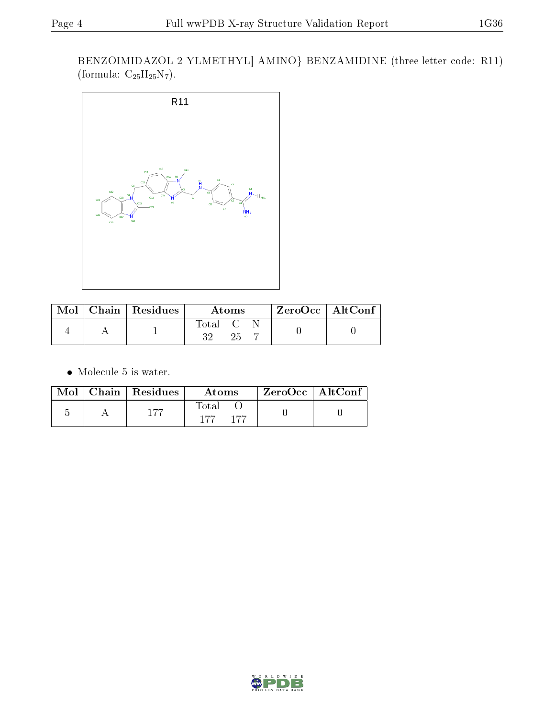BENZOIMIDAZOL-2-YLMETHYL]-AMINO}-BENZAMIDINE (three-letter code: R11) (formula:  $C_{25}H_{25}N_7$ ).



|  | $\mid$ Mol $\mid$ Chain $\mid$ Residues | Atoms                                                          |  |  | $\rm ZeroOcc$   Alt $\rm Conf$ |  |
|--|-----------------------------------------|----------------------------------------------------------------|--|--|--------------------------------|--|
|  |                                         | $\begin{array}{ccc} \text{Total} & \text{C} \end{array}$<br>າາ |  |  |                                |  |

• Molecule 5 is water.

|  | $\text{Mol}$   Chain   Residues | Atoms                  | ' ZeroOcc   AltConf |  |
|--|---------------------------------|------------------------|---------------------|--|
|  | 177                             | Fotal<br>$-177$<br>177 |                     |  |



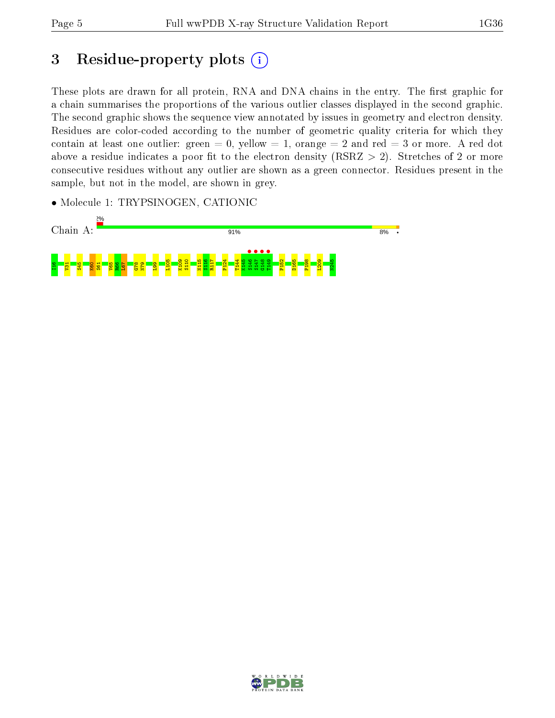# 3 Residue-property plots  $(i)$

These plots are drawn for all protein, RNA and DNA chains in the entry. The first graphic for a chain summarises the proportions of the various outlier classes displayed in the second graphic. The second graphic shows the sequence view annotated by issues in geometry and electron density. Residues are color-coded according to the number of geometric quality criteria for which they contain at least one outlier: green  $= 0$ , yellow  $= 1$ , orange  $= 2$  and red  $= 3$  or more. A red dot above a residue indicates a poor fit to the electron density (RSRZ  $> 2$ ). Stretches of 2 or more consecutive residues without any outlier are shown as a green connector. Residues present in the sample, but not in the model, are shown in grey.

• Molecule 1: TRYPSINOGEN, CATIONIC



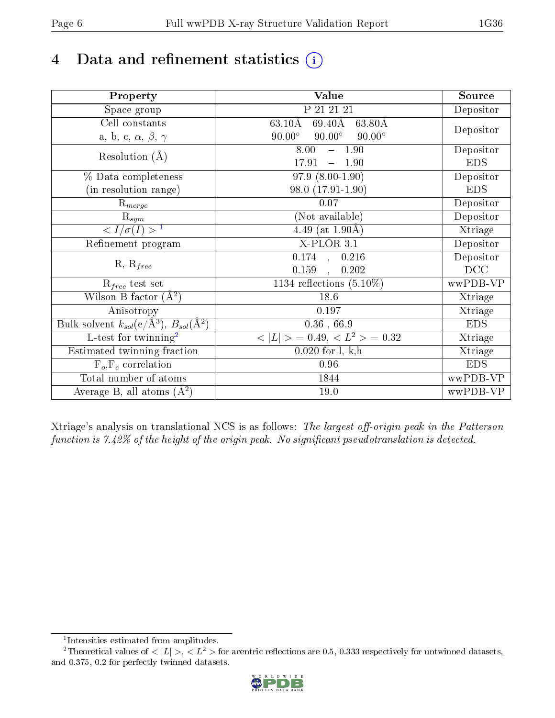# 4 Data and refinement statistics  $(i)$

| Property                                                             | Value                                            | Source     |
|----------------------------------------------------------------------|--------------------------------------------------|------------|
| Space group                                                          | P 21 21 21                                       | Depositor  |
| Cell constants                                                       | $63.10\text{\AA}$<br>$69.40\text{\AA}$<br>63.80Å |            |
| a, b, c, $\alpha$ , $\beta$ , $\gamma$                               | $90.00^\circ$<br>$90.00^\circ$<br>$90.00^\circ$  | Depositor  |
| Resolution $(A)$                                                     | 8.00<br>$-1.90$                                  | Depositor  |
|                                                                      | 17.91<br>$-1.90$                                 | <b>EDS</b> |
| % Data completeness                                                  | $97.9(8.00-1.90)$                                | Depositor  |
| (in resolution range)                                                | 98.0 (17.91-1.90)                                | <b>EDS</b> |
| $\mathrm{R}_{merge}$                                                 | 0.07                                             | Depositor  |
| $\mathrm{R}_{sym}$                                                   | (Not available)                                  | Depositor  |
| $\langle I/\sigma(I) \rangle^{-1}$                                   | 4.49 (at $1.90\text{\AA}$ )                      | Xtriage    |
| Refinement program                                                   | $X$ -PLOR $3.1$                                  | Depositor  |
| $R, R_{free}$                                                        | $\overline{0.174}$ ,<br>0.216                    | Depositor  |
|                                                                      | 0.159<br>0.202<br>$\mathbf{A}$                   | DCC        |
| $R_{free}$ test set                                                  | 1134 reflections $(5.10\%)$                      | wwPDB-VP   |
| Wilson B-factor $(A^2)$                                              | 18.6                                             | Xtriage    |
| Anisotropy                                                           | 0.197                                            | Xtriage    |
| Bulk solvent $k_{sol}(e/\mathring{A}^3)$ , $B_{sol}(\mathring{A}^2)$ | $0.36$ , 66.9                                    | <b>EDS</b> |
| $\overline{L-test for}$ twinning <sup>2</sup>                        | $< L >$ = 0.49, $< L2$ = 0.32                    | Xtriage    |
| Estimated twinning fraction                                          | $0.020$ for $1, -k, h$                           | Xtriage    |
| $F_o, F_c$ correlation                                               | 0.96                                             | <b>EDS</b> |
| Total number of atoms                                                | 1844                                             | wwPDB-VP   |
| Average B, all atoms $(A^2)$                                         | 19.0                                             | wwPDB-VP   |

Xtriage's analysis on translational NCS is as follows: The largest off-origin peak in the Patterson function is  $7.42\%$  of the height of the origin peak. No significant pseudotranslation is detected.

<sup>&</sup>lt;sup>2</sup>Theoretical values of  $\langle |L| \rangle$ ,  $\langle L^2 \rangle$  for acentric reflections are 0.5, 0.333 respectively for untwinned datasets, and 0.375, 0.2 for perfectly twinned datasets.



<span id="page-5-1"></span><span id="page-5-0"></span><sup>1</sup> Intensities estimated from amplitudes.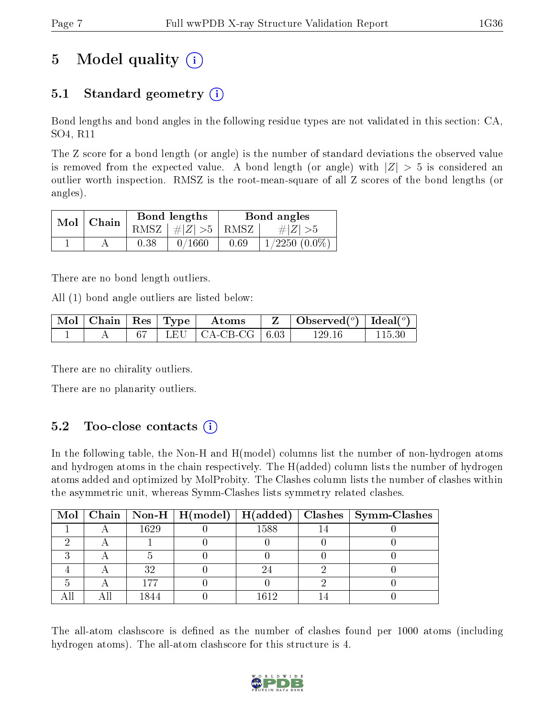# 5 Model quality  $(i)$

## 5.1 Standard geometry  $\overline{()}$

Bond lengths and bond angles in the following residue types are not validated in this section: CA, SO4, R11

The Z score for a bond length (or angle) is the number of standard deviations the observed value is removed from the expected value. A bond length (or angle) with  $|Z| > 5$  is considered an outlier worth inspection. RMSZ is the root-mean-square of all Z scores of the bond lengths (or angles).

| $Mol$   Chain |      | Bond lengths                 | Bond angles |                    |  |
|---------------|------|------------------------------|-------------|--------------------|--|
|               |      | RMSZ $\mid \#Z \mid >5$ RMSZ |             | $\# Z  > 5$        |  |
|               | 0.38 | 0/1660                       | 0.69        | $1/2250$ $(0.0\%)$ |  |

There are no bond length outliers.

All (1) bond angle outliers are listed below:

| $\text{Mol}$ | $\Box$ Chain   Res   Type |  | Atoms                             | $\vert$ Observed $(^\circ)$ $\vert$ Ideal $(^\circ)$ |  |
|--------------|---------------------------|--|-----------------------------------|------------------------------------------------------|--|
|              |                           |  | LEU $\vert$ CA-CB-CG $\vert$ 6.03 | 129 16                                               |  |

There are no chirality outliers.

There are no planarity outliers.

### $5.2$  Too-close contacts  $(i)$

In the following table, the Non-H and H(model) columns list the number of non-hydrogen atoms and hydrogen atoms in the chain respectively. The H(added) column lists the number of hydrogen atoms added and optimized by MolProbity. The Clashes column lists the number of clashes within the asymmetric unit, whereas Symm-Clashes lists symmetry related clashes.

|  |      |      | Mol   Chain   Non-H   H(model)   H(added)   Clashes   Symm-Clashes |
|--|------|------|--------------------------------------------------------------------|
|  | 1629 | 1588 |                                                                    |
|  |      |      |                                                                    |
|  |      |      |                                                                    |
|  | 32   |      |                                                                    |
|  |      |      |                                                                    |
|  | 1844 | 1612 |                                                                    |

The all-atom clashscore is defined as the number of clashes found per 1000 atoms (including hydrogen atoms). The all-atom clashscore for this structure is 4.

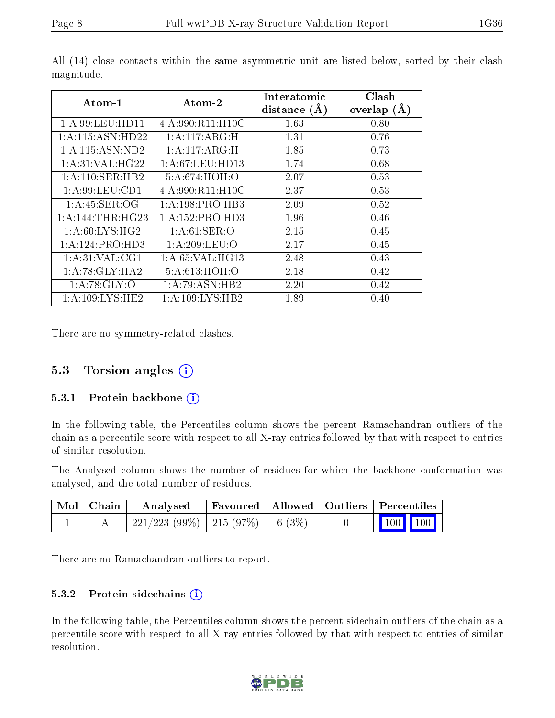| Atom-1                      | Atom-2              | Interatomic<br>distance $(A)$ | Clash<br>overlap $(A)$ |
|-----------------------------|---------------------|-------------------------------|------------------------|
| 1: A:99: LEU: HD11          | 4: A:990: R11: H10C | 1.63                          | 0.80                   |
| 1: A:115: ASN: HD22         | 1: A:117: ARG:H     | 1.31                          | 0.76                   |
| 1: A: 115: ASN: ND2         | 1: A:117: A R G:H   | 1.85                          | 0.73                   |
| 1:A:31:VAL:HG22             | 1: A:67: LEU:HD13   | 1.74                          | 0.68                   |
| 1:A:110:SER:HB2             | 5:A:674:HOH:O       | 2.07                          | 0.53                   |
| 1: A:99:LEU:CD1             | 4:A:990:R11:H10C    | 2.37                          | 0.53                   |
| 1: A:45: SER:OG             | 1:A:198:PRO:HB3     | 2.09                          | 0.52                   |
| 1:A:144:THR:HG23            | 1:A:152:PRO:HD3     | 1.96                          | 0.46                   |
| $1:A:60:LYS:H\overline{G2}$ | 1: A:61:SER:O       | 2.15                          | 0.45                   |
| 1:A:124:PRO:HD3             | 1: A:209: LEU:O     | 2.17                          | 0.45                   |
| 1: A:31: VAL:CG1            | 1:A:65:VAL:HG13     | 2.48                          | 0.43                   |
| 1:A:78:GLY:HA2              | 5:A:613:HOH:O       | 2.18                          | 0.42                   |
| 1: A:78: GLY:O              | 1:A:79:ASN:HB2      | 2.20                          | 0.42                   |
| 1: A:109: LYS: HE2          | 1: A:109: LYS: HB2  | 1.89                          | 0.40                   |

All (14) close contacts within the same asymmetric unit are listed below, sorted by their clash magnitude.

There are no symmetry-related clashes.

#### 5.3 Torsion angles (i)

#### 5.3.1 Protein backbone (i)

In the following table, the Percentiles column shows the percent Ramachandran outliers of the chain as a percentile score with respect to all X-ray entries followed by that with respect to entries of similar resolution.

The Analysed column shows the number of residues for which the backbone conformation was analysed, and the total number of residues.

| Mol   Chain | Analysed                                |  | Favoured   Allowed   Outliers   Percentiles |
|-------------|-----------------------------------------|--|---------------------------------------------|
|             | $221/223$ (99\%)   215 (97\%)   6 (3\%) |  | $\boxed{100}$ $\boxed{100}$ $\boxed{}$      |

There are no Ramachandran outliers to report.

#### 5.3.2 Protein sidechains  $(i)$

In the following table, the Percentiles column shows the percent sidechain outliers of the chain as a percentile score with respect to all X-ray entries followed by that with respect to entries of similar resolution.

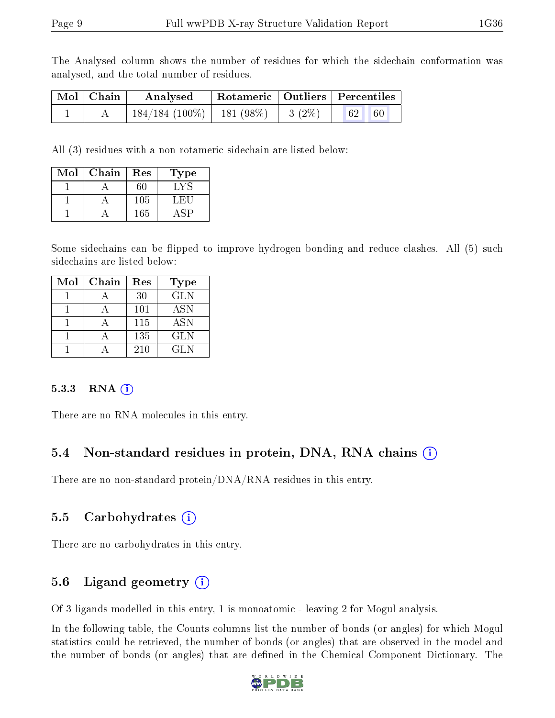The Analysed column shows the number of residues for which the sidechain conformation was analysed, and the total number of residues.

| Mol   Chain | Analysed                   |                     | $^\mathrm{+}$ Rotameric $\parallel$ Outliers $\parallel$ Percentiles |  |
|-------------|----------------------------|---------------------|----------------------------------------------------------------------|--|
|             | $184/184(100\%)$ 181 (98%) | $\leq$ 1 3 (2%)   . | $\vert 62 \vert$<br>60                                               |  |

All (3) residues with a non-rotameric sidechain are listed below:

| Mol | Chain | Res | Type |
|-----|-------|-----|------|
|     |       | 60  | LY.  |
|     |       | 105 | . H. |
|     |       | 165 |      |

Some sidechains can be flipped to improve hydrogen bonding and reduce clashes. All (5) such sidechains are listed below:

| Mol | Chain | Res | Type       |
|-----|-------|-----|------------|
|     |       | 30  | <b>GLN</b> |
|     |       | 101 | <b>ASN</b> |
|     |       | 115 | <b>ASN</b> |
|     |       | 135 | <b>GLN</b> |
|     |       | 210 | <b>GLN</b> |

#### $5.3.3$  RNA  $(i)$

There are no RNA molecules in this entry.

### 5.4 Non-standard residues in protein, DNA, RNA chains (i)

There are no non-standard protein/DNA/RNA residues in this entry.

### 5.5 Carbohydrates (i)

There are no carbohydrates in this entry.

## 5.6 Ligand geometry (i)

Of 3 ligands modelled in this entry, 1 is monoatomic - leaving 2 for Mogul analysis.

In the following table, the Counts columns list the number of bonds (or angles) for which Mogul statistics could be retrieved, the number of bonds (or angles) that are observed in the model and the number of bonds (or angles) that are dened in the Chemical Component Dictionary. The

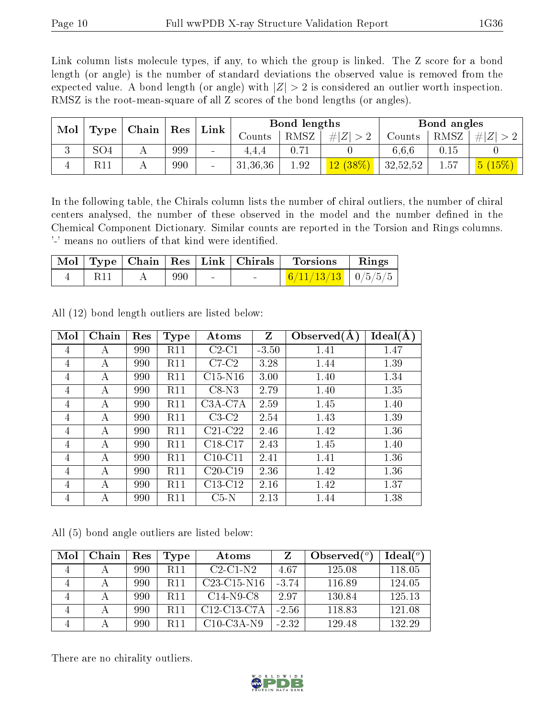Link column lists molecule types, if any, to which the group is linked. The Z score for a bond length (or angle) is the number of standard deviations the observed value is removed from the expected value. A bond length (or angle) with  $|Z| > 2$  is considered an outlier worth inspection. RMSZ is the root-mean-square of all Z scores of the bond lengths (or angles).

| Mol |      | Chain | Res | Link                     |          | Bond lengths |                                 |          | Bond angles |                  |
|-----|------|-------|-----|--------------------------|----------|--------------|---------------------------------|----------|-------------|------------------|
|     | Type |       |     |                          | Counts   | RMSZ         | Z <br>#                         | Counts   | RMSZ        | # Z              |
|     | SO4  |       | 999 | $\sim$                   | 4.4.4    | 0.71         |                                 | 6,6,6    | 0.15        |                  |
|     | R11  |       | 990 | $\overline{\phantom{0}}$ | 31,36,36 | 1.92         | $\sqrt{(38\%)}$<br>$12^{\circ}$ | 32,52,52 | 1.57        | $15\%)$<br>$5 -$ |

In the following table, the Chirals column lists the number of chiral outliers, the number of chiral centers analysed, the number of these observed in the model and the number defined in the Chemical Component Dictionary. Similar counts are reported in the Torsion and Rings columns. '-' means no outliers of that kind were identified.

|     |     |                          |                          | Mol   Type   Chain   Res   Link   Chirals   Torsions   Rings |  |
|-----|-----|--------------------------|--------------------------|--------------------------------------------------------------|--|
| R11 | 990 | <b>Contract Contract</b> | <b>Contract Contract</b> | $\frac{6}{11/13/13}$ $0/5/5/5$                               |  |

| Mol | Chain | Res | <b>Type</b> | Atoms     | Z       | Observed $(A)$ | Ideal(A) |
|-----|-------|-----|-------------|-----------|---------|----------------|----------|
| 4   | А     | 990 | <b>R11</b>  | $C2-C1$   | $-3.50$ | 1.41           | 1.47     |
| 4   | А     | 990 | R11         | $C7-C2$   | 3.28    | 1.44           | 1.39     |
| 4   | A     | 990 | <b>R11</b>  | $C15-N16$ | 3.00    | 1.40           | 1.34     |
| 4   | A     | 990 | R11         | $C8-N3$   | 2.79    | 1.40           | 1.35     |
| 4   | A     | 990 | <b>R11</b>  | $C3A-C7A$ | 2.59    | 1.45           | 1.40     |
| 4   | А     | 990 | R11         | $C3-C2$   | 2.54    | 1.43           | 1.39     |
| 4   | А     | 990 | <b>R11</b>  | $C21-C22$ | 2.46    | 1.42           | 1.36     |
| 4   | А     | 990 | <b>R11</b>  | C18-C17   | 2.43    | 1.45           | 1.40     |
| 4   | А     | 990 | R11         | $C10-C11$ | 2.41    | 1.41           | 1.36     |
| 4   | А     | 990 | R11         | $C20-C19$ | 2.36    | 1.42           | 1.36     |
| 4   | А     | 990 | <b>R11</b>  | $C13-C12$ | 2.16    | 1.42           | 1.37     |
| 4   | А     | 990 | R11         | $C5-N$    | 2.13    | 1.44           | 1.38     |

All (12) bond length outliers are listed below:

All (5) bond angle outliers are listed below:

| Mol | Chain | Res | Type            | Atoms                                              | 7       | Observed $(°)$ | Ideal <sup>(o)</sup> |
|-----|-------|-----|-----------------|----------------------------------------------------|---------|----------------|----------------------|
| 4   |       | 990 | R <sub>11</sub> | $C2-C1-N2$                                         | 4.67    | 125.08         | 118.05               |
| 4   |       | 990 | R11             | $C23-C15-N16$                                      | $-3.74$ | 116.89         | 124.05               |
|     |       | 990 | R <sub>11</sub> | $C14-N9-C8$                                        | 2.97    | 130.84         | 125.13               |
|     |       | 990 | R11             | C <sub>12</sub> -C <sub>13</sub> -C <sub>7</sub> A | $-2.56$ | 118.83         | 121.08               |
|     |       | 990 | R 11            | $C10$ -C3A-N9                                      | $-2.32$ | 129.48         | 132.29               |

There are no chirality outliers.

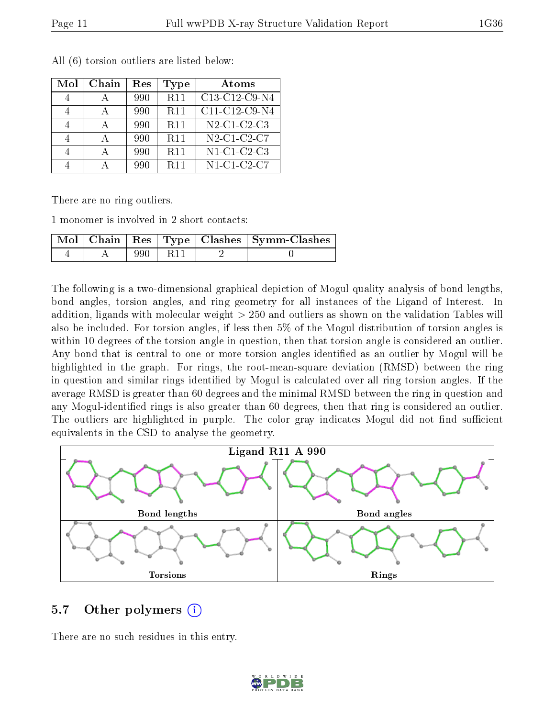| Mol | Chain | Res | Type       | Atoms                                                          |
|-----|-------|-----|------------|----------------------------------------------------------------|
|     |       | 990 | <b>R11</b> | C13-C12-C9-N4                                                  |
|     |       | 990 | <b>R11</b> | C11-C12-C9-N4                                                  |
|     |       | 990 | <b>R11</b> | $\overline{\text{N2-C1}}$ C <sub>2</sub> -C <sub>3</sub>       |
|     |       | 990 | <b>R11</b> | N <sub>2</sub> -C <sub>1</sub> -C <sub>2</sub> -C <sub>7</sub> |
|     |       | 990 | <b>R11</b> | $N1$ -C1-C2-C3                                                 |
|     |       | 990 | <b>R11</b> | $N1-C1-C2-C7$                                                  |

All (6) torsion outliers are listed below:

There are no ring outliers.

1 monomer is involved in 2 short contacts:

|  |       |     | Mol   Chain   Res   Type   Clashes   Symm-Clashes |
|--|-------|-----|---------------------------------------------------|
|  | 990 - | R11 |                                                   |

The following is a two-dimensional graphical depiction of Mogul quality analysis of bond lengths, bond angles, torsion angles, and ring geometry for all instances of the Ligand of Interest. In addition, ligands with molecular weight > 250 and outliers as shown on the validation Tables will also be included. For torsion angles, if less then 5% of the Mogul distribution of torsion angles is within 10 degrees of the torsion angle in question, then that torsion angle is considered an outlier. Any bond that is central to one or more torsion angles identified as an outlier by Mogul will be highlighted in the graph. For rings, the root-mean-square deviation (RMSD) between the ring in question and similar rings identified by Mogul is calculated over all ring torsion angles. If the average RMSD is greater than 60 degrees and the minimal RMSD between the ring in question and any Mogul-identified rings is also greater than 60 degrees, then that ring is considered an outlier. The outliers are highlighted in purple. The color gray indicates Mogul did not find sufficient equivalents in the CSD to analyse the geometry.



#### 5.7 [O](https://www.wwpdb.org/validation/2017/XrayValidationReportHelp#nonstandard_residues_and_ligands)ther polymers  $(i)$

There are no such residues in this entry.

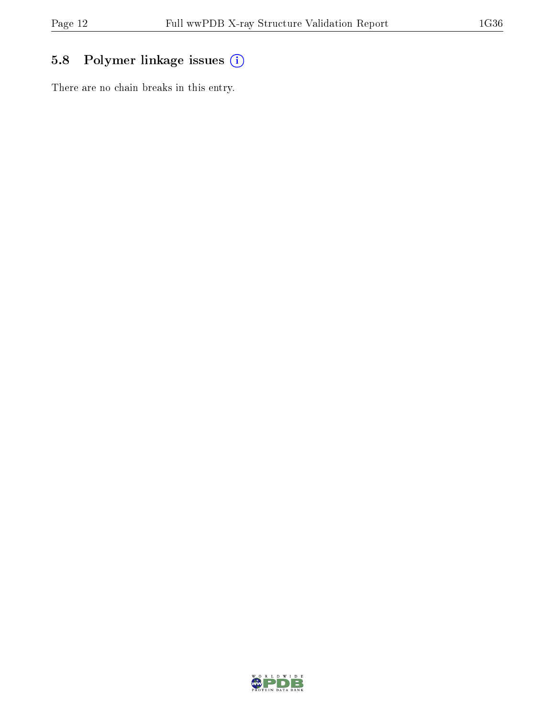## 5.8 Polymer linkage issues (i)

There are no chain breaks in this entry.

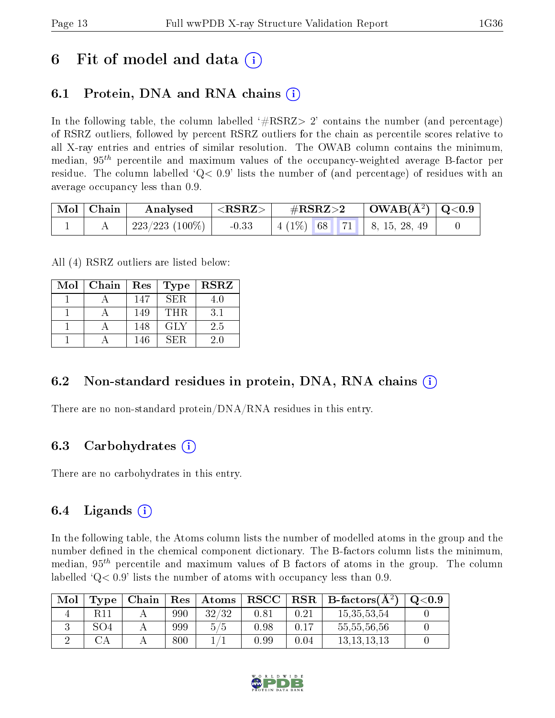# 6 Fit of model and data  $\left( \cdot \right)$

## 6.1 Protein, DNA and RNA chains (i)

In the following table, the column labelled  $#RSRZ>2'$  contains the number (and percentage) of RSRZ outliers, followed by percent RSRZ outliers for the chain as percentile scores relative to all X-ray entries and entries of similar resolution. The OWAB column contains the minimum, median,  $95<sup>th</sup>$  percentile and maximum values of the occupancy-weighted average B-factor per residue. The column labelled  $Q < 0.9$  lists the number of (and percentage) of residues with an average occupancy less than 0.9.

| $\mid$ Mol $\mid$ Chain | Analysed        | ${ <\hspace{-1.5pt}{\mathrm{RSRZ}} \hspace{-1.5pt}>}$ | $\rm \#RSRZ{>}2$                       | $\vert$ OWAB( $\rm \AA^2)$ $\vert$ Q<0.9 $\vert$ |  |
|-------------------------|-----------------|-------------------------------------------------------|----------------------------------------|--------------------------------------------------|--|
|                         | 223/223 (100\%) | $-0.33$                                               | $\mid$ 4 (1\%) 68   71   8, 15, 28, 49 |                                                  |  |

All (4) RSRZ outliers are listed below:

| Mol | Chain | Res | Type       | <b>RSRZ</b> |
|-----|-------|-----|------------|-------------|
|     |       | 147 | SER.       | 4.0         |
|     |       | 149 | THR.       | 3.1         |
|     |       | 148 | <b>GLY</b> | 2.5         |
|     |       | 146 | SER        | 20          |

### 6.2 Non-standard residues in protein, DNA, RNA chains  $(i)$

There are no non-standard protein/DNA/RNA residues in this entry.

### 6.3 Carbohydrates (i)

There are no carbohydrates in this entry.

### 6.4 Ligands  $(i)$

In the following table, the Atoms column lists the number of modelled atoms in the group and the number defined in the chemical component dictionary. The B-factors column lists the minimum, median,  $95<sup>th</sup>$  percentile and maximum values of B factors of atoms in the group. The column labelled  $Q< 0.9$  lists the number of atoms with occupancy less than 0.9.

| Mol | Type | Chain | $\operatorname{Res}% \left( \mathcal{N}\right) \equiv\operatorname{Res}(\mathcal{N}_{0})\cap\operatorname{Res}(\mathcal{N}_{0})$ | $\boldsymbol{\mathrm{Atoms}}$ | ${\bf RSCC}$ |      | $\vert$ RSR $\vert$ B-factors( $\rm \AA^2)$ ) | O <sub>0.9</sub> |
|-----|------|-------|----------------------------------------------------------------------------------------------------------------------------------|-------------------------------|--------------|------|-----------------------------------------------|------------------|
|     |      |       | 990                                                                                                                              | 32/32                         | 0.81         | 0.21 | 15, 35, 53, 54                                |                  |
|     | SO4  |       | 999                                                                                                                              | 5/5                           | 0.98         | 0.17 | 55,55,56,56                                   |                  |
|     |      |       | 800                                                                                                                              |                               | 0.99         | 0.04 | 13, 13, 13, 13                                |                  |